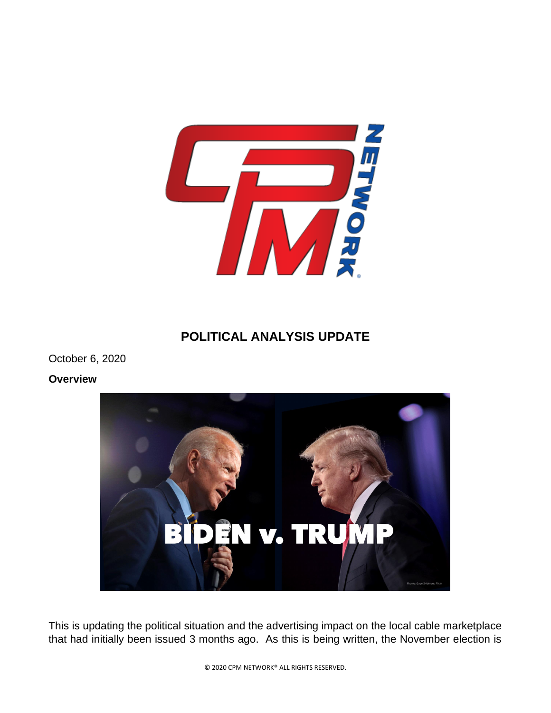

## **POLITICAL ANALYSIS UPDATE**

October 6, 2020

## **Overview**



This is updating the political situation and the advertising impact on the local cable marketplace that had initially been issued 3 months ago. As this is being written, the November election is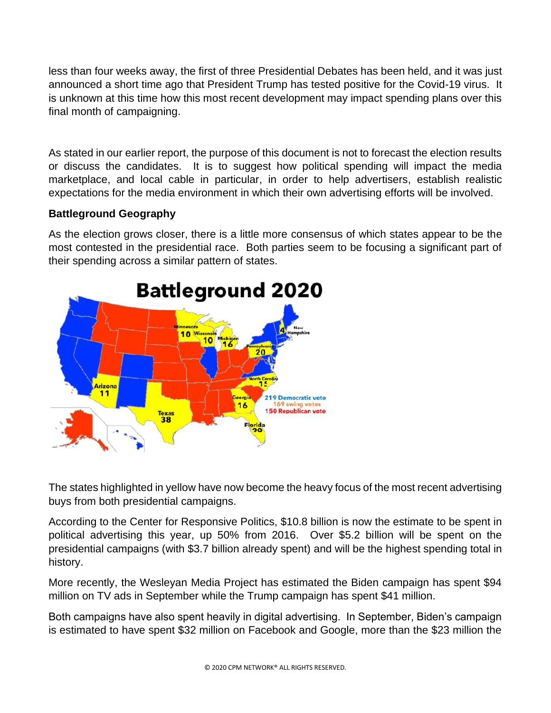less than four weeks away, the first of three Presidential Debates has been held, and it was just announced a short time ago that President Trump has tested positive for the Covid-19 virus. It is unknown at this time how this most recent development may impact spending plans over this final month of campaigning.

As stated in our earlier report, the purpose of this document is not to forecast the election results or discuss the candidates. It is to suggest how political spending will impact the media marketplace, and local cable in particular, in order to help advertisers, establish realistic expectations for the media environment in which their own advertising efforts will be involved.

## **Battleground Geography**

As the election grows closer, there is a little more consensus of which states appear to be the most contested in the presidential race. Both parties seem to be focusing a significant part of their spending across a similar pattern of states.



The states highlighted in yellow have now become the heavy focus of the most recent advertising buys from both presidential campaigns.

According to the Center for Responsive Politics, \$10.8 billion is now the estimate to be spent in political advertising this year, up 50% from 2016. Over \$5.2 billion will be spent on the presidential campaigns (with \$3.7 billion already spent) and will be the highest spending total in history.

More recently, the Wesleyan Media Project has estimated the Biden campaign has spent \$94 million on TV ads in September while the Trump campaign has spent \$41 million.

Both campaigns have also spent heavily in digital advertising. In September, Biden's campaign is estimated to have spent \$32 million on Facebook and Google, more than the \$23 million the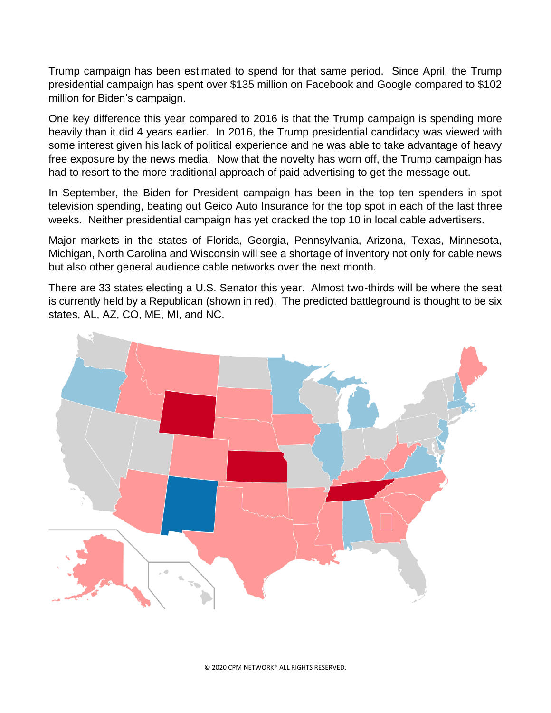Trump campaign has been estimated to spend for that same period. Since April, the Trump presidential campaign has spent over \$135 million on Facebook and Google compared to \$102 million for Biden's campaign.

One key difference this year compared to 2016 is that the Trump campaign is spending more heavily than it did 4 years earlier. In 2016, the Trump presidential candidacy was viewed with some interest given his lack of political experience and he was able to take advantage of heavy free exposure by the news media. Now that the novelty has worn off, the Trump campaign has had to resort to the more traditional approach of paid advertising to get the message out.

In September, the Biden for President campaign has been in the top ten spenders in spot television spending, beating out Geico Auto Insurance for the top spot in each of the last three weeks. Neither presidential campaign has yet cracked the top 10 in local cable advertisers.

Major markets in the states of Florida, Georgia, Pennsylvania, Arizona, Texas, Minnesota, Michigan, North Carolina and Wisconsin will see a shortage of inventory not only for cable news but also other general audience cable networks over the next month.

There are 33 states electing a U.S. Senator this year. Almost two-thirds will be where the seat is currently held by a Republican (shown in red). The predicted battleground is thought to be six states, AL, AZ, CO, ME, MI, and NC.

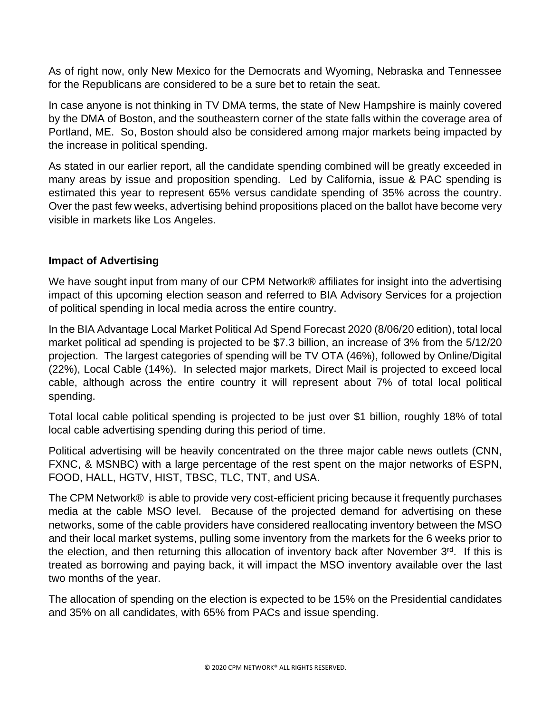As of right now, only New Mexico for the Democrats and Wyoming, Nebraska and Tennessee for the Republicans are considered to be a sure bet to retain the seat.

In case anyone is not thinking in TV DMA terms, the state of New Hampshire is mainly covered by the DMA of Boston, and the southeastern corner of the state falls within the coverage area of Portland, ME. So, Boston should also be considered among major markets being impacted by the increase in political spending.

As stated in our earlier report, all the candidate spending combined will be greatly exceeded in many areas by issue and proposition spending. Led by California, issue & PAC spending is estimated this year to represent 65% versus candidate spending of 35% across the country. Over the past few weeks, advertising behind propositions placed on the ballot have become very visible in markets like Los Angeles.

## **Impact of Advertising**

We have sought input from many of our CPM Network® affiliates for insight into the advertising impact of this upcoming election season and referred to BIA Advisory Services for a projection of political spending in local media across the entire country.

In the BIA Advantage Local Market Political Ad Spend Forecast 2020 (8/06/20 edition), total local market political ad spending is projected to be \$7.3 billion, an increase of 3% from the 5/12/20 projection. The largest categories of spending will be TV OTA (46%), followed by Online/Digital (22%), Local Cable (14%). In selected major markets, Direct Mail is projected to exceed local cable, although across the entire country it will represent about 7% of total local political spending.

Total local cable political spending is projected to be just over \$1 billion, roughly 18% of total local cable advertising spending during this period of time.

Political advertising will be heavily concentrated on the three major cable news outlets (CNN, FXNC, & MSNBC) with a large percentage of the rest spent on the major networks of ESPN, FOOD, HALL, HGTV, HIST, TBSC, TLC, TNT, and USA.

The CPM Network® is able to provide very cost-efficient pricing because it frequently purchases media at the cable MSO level. Because of the projected demand for advertising on these networks, some of the cable providers have considered reallocating inventory between the MSO and their local market systems, pulling some inventory from the markets for the 6 weeks prior to the election, and then returning this allocation of inventory back after November  $3<sup>rd</sup>$ . If this is treated as borrowing and paying back, it will impact the MSO inventory available over the last two months of the year.

The allocation of spending on the election is expected to be 15% on the Presidential candidates and 35% on all candidates, with 65% from PACs and issue spending.